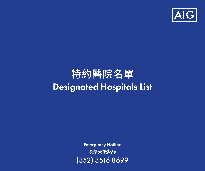

# Designated Hospitals List 特約醫院名單

緊急支援熱線 Emergency Hotline (852) 3516 8699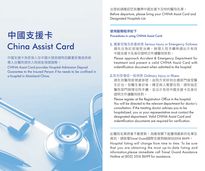# 中國支援卡<br>Ching Assist Card

## 中國支援卡為受保人在中國大陸旅遊時因嚴重受傷或疾病 需入住醫院提供入院按金保證服務。

CHINA Assist Card provides Hospital Admission Deposit Guarantee to the Insured Person if he needs to be confined in a hospital in Mainland China.



出發前請確認您有攜帶中國支援卡及特約醫院名單。 Before departure, please bring your CHINA Assist Card and Designated Hospitals List.

### 使用服務程序如下 Procedures in using CHINA Assist Card:

1. 嚴重受傷及急重病患 Serious Injury or Emergency Sickness 請先往急診部接受治療,辦理入院手續時請出示有效 中國支援卡及身份證明文件讓醫院核對。

Please approach Accident & Emergency Department for treatment and present a valid CHINA Assist Card with indentification document when admitted to the hospital.

#### 2.其他受傷或一般病患 Ordinary Injury or Illness

請先到醫院掛號處掛號,由院方安排到合適部門接受醫 生診治。如醫生會診後,確定病人需要住院,請到指定 醫院部門辦理住院手續,並出示有效中國支援卡及身份 證明文件讓醫院核對。

Please register at the Registration Office in the hospital. You will be directed to the relevant department for doctor's consultation. If the treating doctor advises you to be hospitalized, you or your representative must contact the designated department. Valid CHINA Assist Card and indentification documents are required for verification.

此醫院名單將會不斷更新。為確保閣下能獲得最新的名單及 資訊,請致電Travel Guard國際支援熱線(852)3516 8699。 Hospital listing will change from time to time. To be sure that you are obtaining the most up-to-date listing and information,please immediate call Travel Guard Assistance Hotline at (852) 3516 8699 for assistance.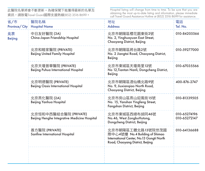| 省/市<br>Province/City | 醫院名稱<br><b>Hospital Name</b>                                          | 地址<br><b>Address</b>                                                                                                                | 電話<br>Tel. No.               |
|----------------------|-----------------------------------------------------------------------|-------------------------------------------------------------------------------------------------------------------------------------|------------------------------|
| 北京<br>Beijing        | 中日友好醫院 (3A)<br>China-Japan Friendship Hospital                        | 北京市朝陽區櫻花園東街2號<br>No. 2, Yinghuayuan East Street,<br>Chaoyang District, Beijing                                                      | 010-84205566                 |
|                      | 北京和睦家醫院 (PRIVATE)<br><b>Beijing United Family Hospital</b>            | 北京市朝陽區將台路2號<br>No. 2 Jiangtai Road, Chaoyang District,<br>Beijing                                                                   | 010-59277000                 |
|                      | 北京天壇普華醫院 (PRIVATE)<br>Beijing Puhua International Hospital            | 北京市東城區天壇南里12號<br>No 12, Tiantan Nanli, Dongcheng District,<br>Beijing                                                               | 010-67035566                 |
|                      | 北京明德醫院 (PRIVATE)<br>Beijing Oasis International Hospital              | 北京市朝陽區酒仙橋北路9號<br>No. 9, Jiuxiangiao North Road,<br>Chaoyang District, Beijing                                                       | 400-876-2747                 |
|                      | 北京燕化醫院 (2A)<br>Beijing Yanhua Hospital                                | 北京市房山區燕山抑風街15號<br>No. 15, Yanshan Yingfeng Street,<br>Fangshan District, Beijing                                                    | 010-81339505                 |
|                      | 北京恒和中西醫結合醫院 (PRIVATE)<br>Beijing Henghe Integrative Medicine Hospital | 北京市東城區西總布胡同46號<br>No.46, West ZongbuHutong,<br>Dongcheng District, Beijing                                                          | 010-65274196<br>010-65272147 |
|                      | 善方醫院 (PRIVATE)<br>Sanfine International Hospital                      | 北京市朝陽區工體北路13號院世茂國<br>際中心4號樓 No.4 Building of Shimao<br>International Center, No.13 Gongti North<br>Road, Chaoyang District, Beijing | 010-64136688                 |
|                      |                                                                       |                                                                                                                                     |                              |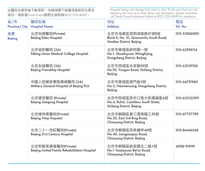| 省/市<br>Province/City | 醫院名稱<br><b>Hospital Name</b>                                        | 地址<br><b>Address</b>                                                                    | 電話<br>Tel. No. |
|----------------------|---------------------------------------------------------------------|-----------------------------------------------------------------------------------------|----------------|
| 北京<br>Beijing        | 北京怡德醫院(Private)<br>Beijing Eden Hospital                            | 北京市海澱區昆明湖南路51號E座<br>Block E, No. 51, Quanminhu South Road,<br>Haidian District, Beijing | 010-53826000   |
|                      | 北京協和醫院 (3A)<br>Peking Union Medical College Hospital                | 北京市東城區帥府園一號<br>No.1, Shuaifuyuan Wangfujing,<br>Dongcheng District, Beijing             | 010-65296114   |
|                      | 北京友誼醫院 (3A)<br>Beijing Friendship Hospital                          | 北京市西城區永安路95號<br>No.95, Yongan Road, Xicheng District,<br>Beijing                        | 010-63139760   |
|                      | 中國人民解放軍陸軍總醫院 (3A)<br>Military General Hospital of Beijing PLA       | 北京市東城區南門倉5號<br>No.5, Nanmencang, Dongcheng District,<br>Beijing                         | 010-66721960   |
|                      | 北京健宮醫院 (Private)<br><b>Beijing Jiangong Hospital</b>                | 北京市西城區菜市口南大街儒福里6號<br>No.6, Rufuli, Caishikou South Street,<br>Xicheng District, Beijing | 010-63532299   |
|                      | 北京維特奧醫院(Private)<br><b>Beijing Vitup Hopsital</b>                   | 北京市朝陽區東三環南路乙52號<br>No.52, East 3rd Ring Road,<br>Chaoyang District, Beijing             | 010-67727789   |
|                      | 北京二十一世紀醫院(Private)<br>Beijing 21st Century Hospital                 | 北京市朝陽區亮馬橋甲40號<br>No.40, Liangmagiao Road,<br>Chaoyang District, Beijing                 | 010-84446168   |
|                      | 北京和睦家康復醫院(Private)<br>Beijing United Family Rehabilitation Hospital | 北京市朝陽區姚家園北二路1號<br>No.1 Yaojiayuan Bei'er Road,<br>Chaoyang District, Beijing            | 4008-919191    |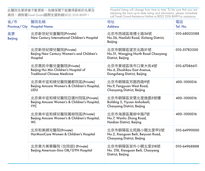| 省/市<br>Province/City | 醫院名稱<br><b>Hospital Name</b>                                                                         | 地址<br><b>Address</b>                                                                  | 電話<br>Tel. No. |
|----------------------|------------------------------------------------------------------------------------------------------|---------------------------------------------------------------------------------------|----------------|
| 北京<br>Beijing        | 北京新世紀兒童醫院(Private)<br>New Century International Children's Hospital                                  | 北京市西城區南禮士路56號<br>No.56, Nanlishi Road, Xicheng District,<br>Beijing                   | 010-68025588   |
|                      | 北京新世紀婦兒醫院(Private)<br>Beijing New Century Women's and Children's<br>Hospital                         | 北京市朝陽區望京北路51號<br>No.51, Wangjing North Road Chaoyang<br>District, Beijing             | 010-51783300   |
|                      | 北京惠民中醫兒章醫院(Private)<br>Beijing Hui Min Children's Hospital of<br><b>Traditional Chinese Medicine</b> | 北京市東城區珠市口東大街4號<br>No.4. Zhushikou East Avenue.<br>Dongcheng District, Beijing         | 010-67086611   |
|                      | 北京美中宜和婦兒醫院麗都院區(Private)<br>Beijing Amcare Women's & Children's Hospital,<br>LIDU                     | 北京市朝陽區芳園西路9號<br>No.9, Fangyuan West Road,<br>Chaoyang District, Beijing               | 400-1000016    |
|                      | 北京美中宜和婦兒醫院亞運村院區(Private)<br>Beijing Amcare Women's & Children's Hospital,<br>YYC.                    | 北京市朝陽區安慧北里逸園5號樓<br>Building 5, Yiyuan Anhuibeili,<br>Chaoyang District, Beijing       | 400-1000016    |
|                      | 北京美中宜和婦兒醫院萬柳院區(Private)<br>Beijing Amcare Women's & Children's Hospital,<br>WL                       | 北京市海澱區萬柳中路7號<br>No.7, Wanliu Zhong Road,<br>Haidian District, Beijing                 | 400-1000016    |
|                      | 北京和美婦兒醫院(Private)<br>HarMoniCare Women & Children's Hospital                                         | 北京市朝陽區北苑路小關北里甲2號<br>No.2, Xiaoguan Beili, Beiyuan Road,<br>Chaoyang District, Beijing | 010-64990000   |
|                      | 北京東方美華醫院 (住院部) (Private)<br>Beijing American-Sino OB/GYN Hospital                                    | 北京市朝陽區安外小關北里218號<br>No. 218, Xiaoguan Beili, Chaoyang<br>District, Beijing            | 010-64968888   |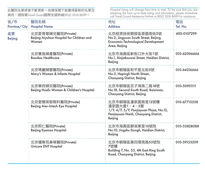| 省/市<br>Province/City | 醫院名稱<br><b>Hospital Name</b>                                             | 地址<br><b>Address</b>                                                                                                         | 電話<br>Tel. No. |
|----------------------|--------------------------------------------------------------------------|------------------------------------------------------------------------------------------------------------------------------|----------------|
| 北京<br>Beijing        | 北京愛育華婦兒醫院(Private)<br>Beijing Aiyuhua Hospital for Children and<br>Women | 北京經濟技術開發區景園南街2號<br>No.2, Jingyuan South Street, Beijing<br>Economic-Technological Development<br>Area, Beijing               | 400-0107299    |
|                      | 北京寶島婦產醫院(Private)<br>Baodao Healthcare                                   | 北京市海澱區新街口外大街1號<br>No.1, Xinjiekouwai Street, Haidian District,<br>Beijing                                                    | 010-62006666   |
|                      | 北京瑪麗婦嬰醫院(Private)<br>Mary's Women & Infants Hospital                     | 北京市朝陽區和平里北街5號<br>No.5, Hepingli North Street,<br>Chaoyang District, Beijing                                                  | 010-64216666   |
|                      | 北京華府婦兒醫院(Private)<br>Beijing Huafu Women & Children's Hospital           | 北京市朝陽區百子灣南二路18號<br>No.18, Second South Road, Baiziwan,<br>Chaoyang District, Beijing                                         | 010-50951111   |
|                      | 北京愛爾英智眼科醫院(Private)<br>Beijing Aier-Intech Eye Hospital                  | 北京市朝陽區潘家園南里12號樓<br>潘家園大廈1、4、5層<br>1/F, 4/F, 5/F, Panjiayuan Plaza, No.12,<br>Panjiayuan Nanli, Chaoyang District,<br>Beijing | 010-67715558   |
|                      | 北京熙仁醫院(Private)<br><b>Beijing Eyemax Hospital</b>                        | 北京市海澱區靜淑東里10號院<br>No.10, Jingshu Dongli, Haidian District,<br>Beijing                                                        | 010-53828088   |
|                      | 北京優聯耳鼻喉醫院(Private)<br>Unicare ENT Hospital                               | 北京市朝陽區東四環南路53號院<br>7號樓<br>Building 7, No. 53, 4th East Ring South<br>Road, Chaoyang District, Beijing                        | 010-59153209   |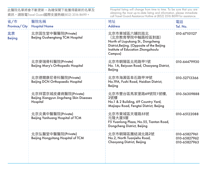| 省/市<br>Province/City | 醫院名稱<br><b>Hospital Name</b>                                                 | 地址<br><b>Address</b>                                                                                                                                                | 電話<br>Tel. No.                               |
|----------------------|------------------------------------------------------------------------------|---------------------------------------------------------------------------------------------------------------------------------------------------------------------|----------------------------------------------|
| 北京<br>Beijing        | 北京固生堂中醫醫院(Private)<br>Beijing Gushengtang TCM Hospital                       | 北京市東城區六鋪炕迤北<br>(北京教育學院中軸路校區對面)<br>North of Liupukang St., Dongcheng<br>District, Beijing. (Opposite of the Beijing<br>Institute of Education Zhongzhoulu<br>Campus) | 010-67101127                                 |
|                      | 北京麥瑞骨科醫院(Private)<br>Beijing Mary's Orthopedic Hospital                      | 北京市朝陽區北苑路甲1號<br>No. 1A, Beiyuan Road, Chaoyang District,<br>Beijing                                                                                                 | 010-64479930                                 |
|                      | 北京德爾康尼骨科醫院(Private)<br>Beijing DCN Orthopaedic Hospital                      | 北京市海澱區阜石路甲19號<br>No.19A, Fushi Road, Haidian District,<br>Beijing                                                                                                   | 010-52713366                                 |
|                      | 北京祥雲京城皮膚病醫院(Private)<br>Beijing Xiangyun Jingcheng Skin Diseases<br>Hospital | 北京市豐台區馬家堡路69號院1號樓,<br>2號樓<br>No.1 & 2 Building, 69 Country Yard,<br>Majiapu Road, Fengtai District, Beijing                                                         | 010-56309888                                 |
|                      | 北京炎黃中醫醫院(Private)<br>Beijing Yanhuang Hospital of TCM                        | 北京市東城區天壇路55號<br>元降大廈5層<br>F5 Yuanlong Plaza, No.55, Tiantan Road,<br>Dongcheng District, Beijing                                                                    | 010-65122088                                 |
|                      | 北京弘醫堂中醫醫院(Private)<br>Beijing Hongyitang Hospital of TCM                     | 北京市朝陽區團結湖北路2號<br>No.2, North Tuanjiehu Road,<br>Chaoyang District, Beijing                                                                                          | 010-65827961<br>010-65827962<br>010-65827963 |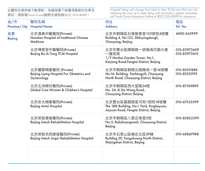| 省/市<br>Province/City | 醫院名稱<br><b>Hospital Name</b>                                                   | 地址<br><b>Address</b>                                                                                       | 電話<br>Tel. No.               |
|----------------------|--------------------------------------------------------------------------------|------------------------------------------------------------------------------------------------------------|------------------------------|
| 北京<br><b>Beijing</b> | 北京漢典中醫醫院(Private)<br>Handian Hospital of traditional Chinese<br>Medicine       | 北京市朝陽區石佛營東里133號院4號樓<br>Building 4, No.133, Shifoyingdongli,<br>Chaoyang, Beijing                           | 4000-365999                  |
|                      | 北京博愛堂中醫醫院(Private)<br>Beijing Bo Ai Tang TCM Hospital                          | 北京市豐台區開陽路一號瀚海花園大廈<br>一層底商<br>1/F Hanhai Garden Tower, No.1,<br>Kaiyang Road, Fengtai District, Beijing     | 010-83973609<br>010-83973610 |
|                      | 北京儷嬰婦產醫院 (Private)<br>Beijing Liying Hospital For Obstetrics and<br>Gynecology | 北京市朝陽區朝陽北路雅成一里16號樓<br>No.16, Building, Yachengyili, Chaoyang<br>North Road, Chaoyang District, Beijing     | 010-85511888<br>010-85512199 |
|                      | 北京五洲婦兒醫院(Private)<br>Global Care Women & Children's Hospital                   | 北京市朝陽區西大望路24號<br>No. 24, Xi Da Wang Road,<br>Chaoyang District, Beijing                                    | 010-87769899                 |
|                      | 北京安太婦產醫院(Private)<br><b>Beijing Antai Hospital</b>                             | 北京豐台區嘉園路星河苑1號院18號樓<br>The 18th Building, No.1 Yard, Xingheyuan,<br>Jiayuan Road, Fengtai District, Beijing | 010-67535599                 |
|                      | 北京英智康復醫院(Private)<br>Beijing Intech Rehabilitation Hospital                    | 北京市朝陽區八里庄南里5號<br>No.5, Balizhuangnanli, Chaoyang District,<br>Beijing                                      | 010-85823399                 |
|                      | 北京英智京西康復醫院(Private)<br>Beijing Intech Jingxi Rehabilitation Hospital           | 北京市石景山區楊庄北區29棟<br>Building 29, Yangzhuang North District,<br>Shijingshan District, Beijing                 | 010-68867988                 |
|                      |                                                                                |                                                                                                            |                              |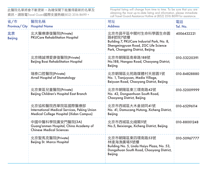| 省/市<br>Province/City | 醫院名稱<br><b>Hospital Name</b>                                                                               | 地址<br><b>Address</b>                                                                                                                                    | 電話<br>Tel. No. |
|----------------------|------------------------------------------------------------------------------------------------------------|---------------------------------------------------------------------------------------------------------------------------------------------------------|----------------|
| 北京<br>Beijing        | 北大醫療康復醫院(Private)<br><b>PKUCare Rehabilitation Hospital</b>                                                | 北京市昌平區中關村生命科學園生命園<br>路8號院7號樓<br>Building 7, PKUCare Indusrial Park, No. 8,<br>Shengmingyuan Road, ZGC Life Science<br>Park, Changping District, Beijing | 4006432221     |
|                      | 北京精誠博愛康復醫院(Private)<br>Beijing Boai Rehabilitation Hospital                                                | 北京市朝陽區南皋路188號<br>No.188, Nangao Road, Chaoyang District,<br>Beijing                                                                                     | 010-53220391   |
|                      | 瑞泰口腔醫院(Private)<br><b>Arrail Hospital of Stomatology</b>                                                   | 北京朝陽區北苑路媒體村天居園1號<br>No. 1, Tianjuyuan, Media Village,<br>Beiyuan Road, Chaoyang District, Beijing                                                       | 010-84828880   |
|                      | 北京東區兒童醫院(Private)<br>Beijing Children's Hospital East Branch                                               | 北京市朝陽區東三環南路42號<br>No. 42, Dongsanhuan South Road,<br>Chaoyang District, Beijing                                                                         | 010-52009999   |
|                      | 北京協和醫院西單院區國際醫療部<br>International Medical Services, Peking Union<br>Medical College Hospital (Xidan Campus) | 北京市西城區大木倉胡同41號<br>No. 41, Damucang Hutong, Xicheng District,<br>Beijing                                                                                 | 010-65296114   |
|                      | 中國中醫科學院廣安門醫院(3A)<br>Guang'anmen Hospital, China Academy of<br><b>Chinese Medical Sciences</b>              | 北京市西城區北綫閣5號<br>No.5, Beixiange, Xicheng District, Beijing                                                                                               | 010-88001248   |
|                      | 北京聖馬克醫院(Private)<br>Beijing St. Marco Hospital                                                             | 北京市朝陽區東四環南路53號<br>林達海漁廣場5號樓<br>Building No. 5, Linda Haiyu Plaza, No. 53,<br>Dongsihuan South Road, Chaoyang District,<br>Beijing                       | 010-50967777   |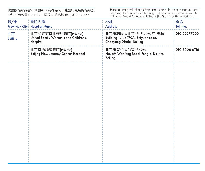| 省/市                  | 醫院名稱<br>Province/City: Hospital Name                                     | 地址<br><b>Address</b>                                                                   | 電話<br>Tel. No. |
|----------------------|--------------------------------------------------------------------------|----------------------------------------------------------------------------------------|----------------|
| 北京<br><b>Beijing</b> | 北京和睦家京北婦兒醫院(Private)<br>United Family Women's and Children's<br>Hospital | 北京市朝陽區北苑路甲170號院1號樓<br>Building 1, No.170A, Beiyuan road,<br>Chaoyang District, Beijing | 010-59277000   |
|                      | 北京京西腫瘤醫院(Private)<br>Beijing New Journey Cancer Hospital                 | 北京市豐台區萬豐路69號<br>No. 69, Wanfeng Road, Fengtai District,<br>Beijing                     | 010-8306 6716  |
|                      |                                                                          |                                                                                        |                |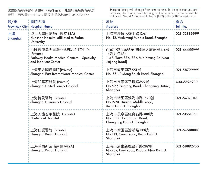| 省/市<br>Province/City | 醫院名稱<br><b>Hospital Name</b>                                                                        | 地址<br><b>Address</b>                                                                        | 電話<br>Tel. No. |
|----------------------|-----------------------------------------------------------------------------------------------------|---------------------------------------------------------------------------------------------|----------------|
| 上海<br>Shanghai       | 復旦大學附屬華山醫院 (3A)<br>Huashan Hospital affiliated to Fudan<br>University                               | 上海市烏魯木齊中路12號<br>No. 12, Wulumugi Middle Road, Shanghai                                      | 021-52889999   |
|                      | 百匯醫療集團盧灣門診部及住院中心<br>(Private)<br>Parkway Health Medical Centers - Specialty<br>and Inpatient Center | 西藏中路336號華旭國際大廈裙樓1-4層<br>(折九江路)<br>1-4F, Plaza 336, 336 Mid Xizang Rd(Near<br>Jiujiang Road) | 021-64455999   |
|                      | 上海東方國際醫院(Private)<br>Shanghai East International Medical Center                                     | 上海市浦東南路551號<br>No. 551, Pudong South Road, Shanghai                                         | 021-58799999   |
|                      | 上海和睦家醫院 (Private)<br>Shanghai United Family Hospital                                                | 上海市長寧區平塘路699號<br>No.699, Pingtang Road, Changning District,<br>Shanghai                     | 400-6393900    |
|                      | 上海博愛醫院 (Private)<br>Shanghai Humanity Hospital                                                      | 上海市徐匯區淮海中路1590號<br>No.1590, Huaihai Middle Road,<br>Xuhui District, Shanghai                | 021-64370113   |
|                      | 上海天壇普華醫院 (Private)<br>St. Michael Hospital                                                          | 上海市長寧區紅寶石路388號<br>No. 388, Hongbaoshi Road,<br>Changning District, Shanghai                 | 021-51551858   |
|                      | 上海仁愛醫院 (Private)<br>Shanghai Ren'ai Hospital                                                        | 上海市徐匯區漕溪路133號<br>No.133, Caoxi Road, Xuhui District,<br>Shanghai                            | 021-64688888   |
|                      | 上海浦東新區浦南醫院(2A)<br>Shanghai Punan Hospital                                                           | 上海市浦東新區臨沂路289號<br>No.289, Linyi Road, Pudong New District,<br>Shanghai                      | 021-58892700   |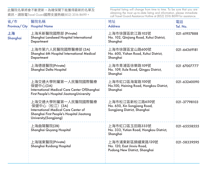| 省/市<br>Province/City | 醫院名稱<br><b>Hospital Name</b>                                                                                                                              | 地址<br><b>Address</b>                                                           | 電話<br>Tel. No. |
|----------------------|-----------------------------------------------------------------------------------------------------------------------------------------------------------|--------------------------------------------------------------------------------|----------------|
| 上海<br>Shanghai       | 上海禾新醫院國際部 (Private)<br>Shanghai Landseed Hospital International<br>Department                                                                             | 上海市徐匯區欽江路102號<br>No. 102, Qinjiang Road, Xuhui District,<br>Shanghai           | 021-61957888   |
|                      | 上海市第六人民醫院國際醫療部 (3A)<br>Shanghai 6th Hospital International Medical<br>Department                                                                          | 上海市徐匯區宜山路600號<br>No. 600, Yishan Road, Xuhui District,<br>Shanghai             | 021-64369181   |
|                      | 上海德達醫院(Private)<br>Shanghai Delta Hospital                                                                                                                | 上海市青浦區徐樂路109號<br>No. 109, Xule Road, Qingpu District,<br>Shanghai              | 021 67007777   |
|                      | 上海交通大學附屬第一人民醫院國際醫療<br>保健中心(3A)<br>International Medical Care Center OfShanghai<br>First People's Hospital JiaotongUniversity                              | 上海市虹口區海甯路100號<br>No.100, Haining Road, Hongkou District,<br>Shanghai           | 021-63240090   |
|                      | 上海交通大學附屬第一人民醫院國際醫療<br>保健中心 (松江) (3A)<br><b>International Medical Care Center of</b><br>Shanghai First People's Hospital Jiaotong<br>University(Songjiang) | 上海市松江區新松江路650號<br>No. 650, Xin Songjiang Road,<br>Songjiang District, Shanghai | 021-37798103   |
|                      | 上海曲陽醫院(2B)<br>Shanghai Quyang Hospital                                                                                                                    | 上海市虹口區玉田路333號<br>No. 333, Yutian Road, Hongkou District,<br>Shanghai           | 021-65558555   |
|                      | 上海瑞東醫院(Private)<br>Shanghai Ruidong Hospital                                                                                                              | 上海市浦東新區錦繡東路120號<br>No. 120, East Jinxiu Road,<br>Pudong New District, Shanghai | 021-58339595   |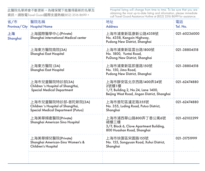| 省/市<br>Province/City | 醫院名稱<br><b>Hospital Name</b>                                                                   | 地址<br><b>Address</b>                                                                                              | 電話<br>Tel. No. |
|----------------------|------------------------------------------------------------------------------------------------|-------------------------------------------------------------------------------------------------------------------|----------------|
| 上海<br>Shanghai       | 上海國際醫學中心(Private)<br>Shanghai international Medical center                                     | 上海市浦東新區康新公路4358號<br>No. 4358, Kangxin Highway,<br>Pudong New District, Shanghai                                   | 021-60236000   |
|                      | 上海東方醫院南院(3A)<br>Shanghai East Hospital                                                         | 上海市浦東新區雲台路1800號<br>No. 1800, Yuntai Road,<br>PuDong New District, Shanghai                                        | 021-38804518   |
|                      | 上海東方醫院 (3A)<br>Shanghai East Hospital                                                          | 上海市浦東新區即墨路150號<br>No. 150. Jimo Road.<br>Pudong New District, Shanghai                                            | 021-38804518   |
|                      | 上海市兒童醫院特診部(3A)<br>Children 's Hospital of ShangHai,<br><b>Special Medical Department</b>       | 上海市靜安區北京西路1400弄24號<br>2號樓1樓<br>1/F, Building 2, No.24, Lane 1400,<br>Beijing West Road, Jingan District, Shanghai | 021-62474880   |
|                      | 上海市兒童醫院特診部-普陀新院(3A)<br>Children 's Hospital of ShangHai,<br>Special Medical Department (Putuo) | 上海市普陀區瀘定路355號<br>No. 355, Luding Road, Putuo District,<br>Shanghai                                                | 021-62474880   |
|                      | 上海美華婦產醫院(Private)<br>Shanghai American Sino Hospital                                           | 上海市浦西華山路800弄丁香公寓6號<br>裙樓三樓<br>3/F, Block 6, Clove Apartment Building,<br>800 Huashan Road, Shanghai               | 021-62102299   |
|                      | 上海美華婦兒醫院(Private)<br>Shanghai American-Sino Women's &<br>Children's Hospital                   | 上海市徐匯區宋園路155號<br>No. 155, Songyuan Road, Xuhui District,<br>Shanghai                                              | 021-31751999   |
|                      |                                                                                                |                                                                                                                   |                |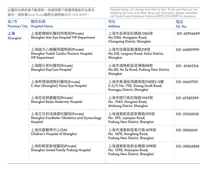| 省/市<br>Province/City | 醫院名稱<br><b>Hospital Name</b>                                                             | 地址<br><b>Address</b>                                                                   | 電話<br>Tel. No. |
|----------------------|------------------------------------------------------------------------------------------|----------------------------------------------------------------------------------------|----------------|
| 上海<br>Shanghai       | 上海愛爾眼科醫院特需部(Private)<br>Shanghai Aier Eye Hospital VIP Department                        | 上海市長寧區虹橋路1286號<br>No.1286, Honggiao Road,<br>Changning District, Shanghai              | 021-62956699   |
|                      | 上海遠大心胸醫院國際部(Private)<br>Shanghai Yodak Cardio-Thoracic Hospital<br><b>VIP Department</b> | 上海市徐匯區龍漕路218號<br>No.218, Longcao Road, Xuhui District,<br>Shanghai                     | 021-64829999   |
|                      | 上海開元骨科醫院(Private)<br>Shanghai KayCare Hospital                                           | 上海市浦東新區荷澤路88號<br>No.88, He Ze Road, Pudong New District,<br>Shanghai                   | 021-61463316   |
|                      | 上海希瑪瑞視眼科醫院(Private)<br>C-Mer (Shanghai) Vision Eye Hospital                              | 上海市黃浦區西藏南路758號2-3樓<br>2-3/F, No. 758, Xizang South Road,<br>Huangpu District, Shanghai | 021-54657501   |
|                      | 上海百佳婦產醫院(Private)<br>Shanghai Baijia Maternity Hospital                                  | 上海市閔行區虹梅路1045號<br>No. 1045, Hongmei Road,<br>Minhang District, Shanghai                | 021-67285299   |
|                      | 上海艾兒貝佳婦產科醫院(Private)<br>Shanghai EverBetter Obstetrics and Gynecology<br>Hospital        | 上海浦東新區居家橋路595號<br>No. 595, Jujiaqiao Road,<br>Pudong New District, Shanghai            | 021-20562018   |
|                      | 上海兒章醫學中心(3A)<br>Children's Hospital of Shanghai                                          | 上海市浦東新區東方路1678號<br>No. 1678, Dongfang Road,<br>Pudong New District, Shanghai           | 021-38626161   |
|                      | 上海和睦家新城醫院(Private)<br>Shanghai United Family Pudong Hospital                             | 上海浦東新區新金橋路1598號<br>No. 1598, Xinjingiao Road,<br>Pudong New District, Shanghai         | 021-38862888   |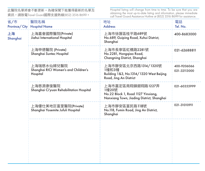| 省/市            | 醫院名稱<br>Province/ City   Hospital Name                         | 地址<br><b>Address</b>                                                                                          | 電話<br>Tel. No.              |
|----------------|----------------------------------------------------------------|---------------------------------------------------------------------------------------------------------------|-----------------------------|
| 上海<br>Shanghai | 上海嘉會國際醫院(Private)<br>Jiahui International Hospital             | 上海市徐匯區桂平路689號<br>No.689, Guiping Road, Xuhui District,<br>Shanghai                                            | 400-8683000                 |
|                | 上海申德醫院 (Private)<br>Shanghai Suntec Hospital                   | 上海市長寧區虹橋路2281號<br>No.2281, Honggiao Road,<br>Changning District, Shanghai                                     | 021-62688811                |
|                | 上海瑞慈水仙婦兒醫院<br>Shanghai RICI Women's and Children's<br>Hospital | 上海市靜安區北京西路1314/1320號<br>1幢和3幢<br>Building 1&3, No.1314/1320 West Beijing<br>Road, Jing An District            | 400-9206066<br>021-32113000 |
|                | 上海慈源康復醫院<br>Shanghai Ci'yuan Rehabilitation Hospital           | 上海市嘉定區南翔鎮銀翔路1227弄<br>1幢20號<br>No.22 Block 1, Road 1127 Yinxiang,<br>Nanxiang Town, Jiading District, Shanghai | 021-60355999                |
|                | 上海優仕美地巨富里醫院(Private)<br>Shanghai Yosemite Jufuli Hospital      | 上海市靜安區富民路118號<br>No.118, Fumin Road, Jing An District,<br>Shanghai                                            | 021-31010911                |
|                |                                                                |                                                                                                               |                             |
|                |                                                                |                                                                                                               |                             |
|                |                                                                |                                                                                                               |                             |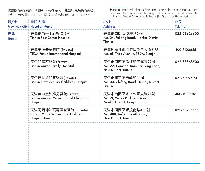| 省/市<br>Province/City | 醫院名稱<br><b>Hospital Name</b>                                                    | 地址<br><b>Address</b>                                                               | 電話<br>Tel. No. |
|----------------------|---------------------------------------------------------------------------------|------------------------------------------------------------------------------------|----------------|
| 天津<br>Tianjin        | 天津市第一中心醫院(3A)<br><b>Tianjin First Center Hospital</b>                           | 天津市南開區復康路24號<br>No. 24, Fukang Road, Nankai District,<br>Tianjin                   | 022-23626600   |
|                      | 天津泰達普華醫院 (Private)<br><b>TEDA Puhua International Hospital</b>                  | 天津經濟技術開發區第三大街61號<br>No. 61, Third Avenue, TEDA, Tianjin                            | 400-8120885    |
|                      | 天津和睦家醫院(Private)<br><b>Tianjin United Family Hospital</b>                       | 天津市河西區潭江道天瀟園22號<br>No. 22, Tianxiao Yuan, Tanjiang Road,<br>Hexi District, Tianjin | 022-58568500   |
|                      | 天津新世紀兒童醫院(Private)<br>Tianjin New Century Children's Hospital                   | 天津市和平區赤峰道33號<br>No. 33, Chifeng Road, Heping District,<br>Tianjin                  | 022-60975151   |
|                      | 天津美中宜和婦兒醫院(Private)<br>Tianjin Amcare Women's and Children's<br>Hospital        | 天津市南開區水上公園東路21號<br>No. 21, Water Park East Road,<br>Nankai District, Tianjin       | 400-1000016    |
|                      | 天津河西坤如瑪麗婦產醫院 (Private)<br>CongraMarie Women and Children's<br>Hospital(Tianjin) | 天津市河西區解放南路488號<br>No. 488, Jiefang South Road,<br>Hexi District, Tianjin           | 022-58785555   |
|                      |                                                                                 |                                                                                    |                |
|                      |                                                                                 |                                                                                    |                |
|                      |                                                                                 |                                                                                    |                |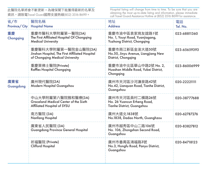| 省/市<br>Province/City | 醫院名稱<br><b>Hospital Name</b>                                                                               | 地址<br><b>Address</b>                                                             | 電話<br>Tel. No. |
|----------------------|------------------------------------------------------------------------------------------------------------|----------------------------------------------------------------------------------|----------------|
| 重慶<br>Chongging      | 重慶市醫科大學附屬第一醫院(3A)<br>The First Affiliated Hospital Of Chongging<br><b>Medical University</b>               | 重慶市渝中區袁家崗友誼路1號<br>No. 1, Youyi Road, Yuanjiagang,<br>Yuzhong District, Chongqing | 023-68811360   |
|                      | 重慶醫科大學附屬第一醫院金山醫院(3A)<br>Jinshan Hospital, The First Affiliated Hospital<br>of Chongqing Medical University | 重慶市兩江新區金渝大道50號<br>No.50, Jinyu Avenue, Liangjiang New<br>District, Chongging     | 023-65659393   |
|                      | 重慶萊佛士醫院(Private)<br><b>Raffles Hospital Chongging</b>                                                      | 重慶市渝中北區華山中路2號 No. 2,<br>Huashan Middle Road, Yubei District,<br>Chongging        | 023-86006999   |
| 廣東省<br>Guangdong     | 廣州現代醫院(2A)<br>Modern Hospital Guangzhou                                                                    | 廣州市天河區沙河濂泉路42號<br>No.42, Lianguan Road, Tianhe District,<br>Guangzhou            | 020-22221111   |
|                      | 中山大學附屬第六醫院雅和醫療(3A)<br>Graceland Medical Center of the Sixth<br>Affiliated Hospital of SYSU                 | 廣州市天河區員村二構路26號<br>No. 26 Yuancun Erheng Road,<br>Tianhe District, Guangzhou      | 020-38777688   |
|                      | 南方醫院 (3A)<br>Nanfang Hospital                                                                              | 廣州大道北1838號<br>No.1838, Dadao North, Guanghzou                                    | 020-62787276   |
|                      | 廣東省人民醫院 (3A)<br>Guangdong Province General Hospital                                                        | 廣州市越秀區中山二路106號<br>No. 106, Zhongshan Second Road,<br>Guangzhou                   | 020-83827812   |
|                      | 祈福醫院 (Private)<br><b>Clifford Hospital</b>                                                                 | 廣州市番禺區鴻福路3號<br>No.3, Hongfu Road, Panyu District,<br>Guangzhou                   | 020-84718123   |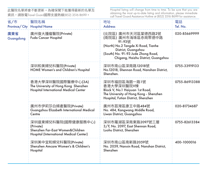| 省/市<br>Province/City | 醫院名稱<br><b>Hospital Name</b>                                                                                    | 地址<br><b>Address</b>                                                                                                                                                                          | 電話<br>Tel. No. |
|----------------------|-----------------------------------------------------------------------------------------------------------------|-----------------------------------------------------------------------------------------------------------------------------------------------------------------------------------------------|----------------|
| 廣東省<br>Guangdong     | 廣州復大腫瘤醫院(Private)<br>Fuda Cancer Hospital                                                                       | (北院區) 廣州市天河區棠德西路2號<br>(南院區) 廣州市海珠區赤崗聚德中路<br>91-93號<br>(North) No.2 Tangde Xi Road, Tianhe<br>District, Guangzhou<br>(South) No. 91-93 Jude Zhong Road,<br>Chigang, Haizhu District, Guangzhou | 020-85669999   |
|                      | 深圳和美婦兒科醫院(Private)<br>HOME Women's and Children's Hospital                                                      | 深圳市南山區深南路12018號<br>No.12018, Shennan Road, Nanshan District,<br>Shenzhen.                                                                                                                     | 0755-33919133  |
|                      | 香港大學深圳醫院國際醫療中心(3A)<br>The University of Hong Kong Shenzhen<br><b>Hospital International Medical Center</b>      | 深圳市福田區海園一路1號<br>香港大學深圳醫院V楝<br>Block V, No.1 Haiyuan 1st Road,<br>The University of Hong Kong - Shenzhen<br>Hospital, Futian District, Shenzhen                                                | 0755-86913388  |
|                      | 廣州市伊莉莎白婦產醫院(Private)<br>Guangzhou Elizabeth International Medical<br>Centre                                     | 廣州市荔灣區康王中路484號<br>No. 484, Kangwang Middle Road,<br>Liwan District, Guangzhou                                                                                                                 | 020-81734687   |
|                      | 深圳遠東婦兒科醫院(國際健康服務中心)<br>(Private)<br>Shenzhen Far-East Women&Children<br>Hospital (International Medical Center) | 深圳市羅湖區深南東路2097號三層<br>3/F, No. 2097, East Shennan Road,<br>Luohu District, Shenzhen                                                                                                            | 0755-82613384  |
|                      | 深圳美中宜和婦兒科醫院(Private)<br>Shenzhen Amcare Women's & Children's<br>Hospital                                        | 深圳市南山區南新路2059號<br>No. 2059, Nanxin Road, Nanshan District,<br>Shenzhen                                                                                                                        | 400-1000016    |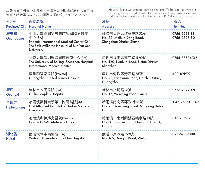| 省/市<br>Province/City | 醫院名稱<br><b>Hospital Name</b>                                                                                                        | 地址<br><b>Address</b>                                                     | 電話<br>Tel. No.               |
|----------------------|-------------------------------------------------------------------------------------------------------------------------------------|--------------------------------------------------------------------------|------------------------------|
| 廣東省<br>Guangdong     | 中山大學附屬第五醫院鳳凰國際醫療<br>中心(3A)<br>Phoenix International Medical Center Of<br>The Fifth Affiliated Hospital of Sun Yat-Sen<br>University | 珠海市香洲區梅華東路52號<br>No. 52, Meihua Dong Road,<br>Xiangzhou District, Zhuhai | 0756-2528181<br>0756-2528180 |
|                      | 北京大學深圳醫院國際醫療中心(3A)<br>The University of Beijing Shenzhen Hospital<br>International Medical Center                                   | 深圳市福田區蓮花路1120號<br>No.1120, Lianhua Road, Futian Disrtict,<br>Shenzhen    | 0755-83534746                |
|                      | 廣州和睦家醫院(Private)<br>Guangzhou United Family Hospital                                                                                | 廣州市海珠區芳園路28號<br>No. 28, Fangyuan Road, Haizhu District,<br>Guanazhou     | 400-8919191                  |
| 廣西<br>Guangxi        | 桂林市人民醫院 (3A)<br>Guilin People's Hospital                                                                                            | 桂林市文明路12號<br>No. 12, Wenming Road, Guilin                                | 0773-2822091                 |
| 黑龍江<br>Heilongjiang  | 哈爾濱醫科大學第一附屬醫院(3A)<br>First Affiliated Hospital of Harbin Medical<br>University                                                      | 哈爾濱南崗區郵政街23號<br>No. 23, Youzheng Street, Nangang District,<br>Harbin     | 0451-53643849                |
|                      | 哈爾濱和美婦兒醫院(Private)<br>Harbin HOME Maternity Hospital                                                                                | 哈爾濱市南崗開發區贛水路13號<br>No.13, Ganshui Road, Nangang District,<br>Harbin      | 0451-87256888                |
| 湖北省<br>Hubei         | 武漢大學中南醫院(3A)<br>Wuhan University ZhongNan Hospital                                                                                  | 武漢市東湖路169號<br>No. 169, Donghu Road, Wuhan                                | 027-67812888                 |
|                      |                                                                                                                                     |                                                                          |                              |
|                      |                                                                                                                                     |                                                                          |                              |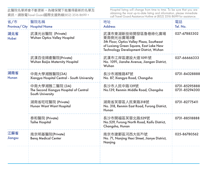| 省/市<br>Province/City | 醫院名稱<br><b>Hospital Name</b>                                                 | 地址<br><b>Address</b>                                                                                                                                            | 電話<br>Tel. No.                 |
|----------------------|------------------------------------------------------------------------------|-----------------------------------------------------------------------------------------------------------------------------------------------------------------|--------------------------------|
| 湖北省<br>Hubei         | 武漢光谷醫院 (Private)<br>Wuhan Optics Valley Hospital                             | 武漢市東湖新技術開發區魯巷綠化廣場<br>東南側光谷廣場5樓<br>5th Floor, Optics Valley Plaza, Southeast<br>of Luxiang Green Square, East Lake New<br>Technology Development District, Wuhan | 027-67885302                   |
|                      | 武漢百佳婦產醫院(Private)<br>Wuhan Baijia Maternity Hospital                         | 武漢市江岸區建設大道1091號<br>No. 1091, Jianshe Avenue, Jiangan District,<br>Wuhan                                                                                         | 027-66666333                   |
| 湖南省<br>Hunan         | 中南大學湘雅醫院(3A)<br>Xiangya Hospital Central - South University                  | 長沙市湘雅路87號<br>No. 87, Xiangya Road, Changsha                                                                                                                     | 0731-84328888                  |
|                      | 中南大學湘雅二醫院 (3A)<br>The Second Xiangya Hospital of Central<br>South University | 長沙市人民中路139號<br>No.139, Renmin Middle Road, Changsha                                                                                                             | 0731-85295888<br>0731-85294300 |
|                      | 湖南省旺旺醫院 (Private)<br>Hunan Want Want Hospital                                | 湖南省芙蓉區人民東路318號<br>No. 318, Renmin East Road, Furong District,<br>Hunan                                                                                          | 0731-82775411                  |
|                      | 泰和醫院 (Private)<br><b>Taihe Hospital</b>                                      | 長沙市開福區芙蓉北路529號<br>No.529, Furong North Road, Kaifu District,<br>Changsha, Hunan                                                                                 | 0731-88518888                  |
| 江蘇省<br>Jiangsu       | 南京明基醫院(Private)<br><b>Beng Medical Center</b>                                | 南京市建鄴區河西大街71號<br>No. 71, Nanjing Hexi Street, Jianye District,<br>Nanjing                                                                                       | 025-86780562                   |
|                      |                                                                              |                                                                                                                                                                 |                                |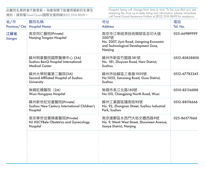| 省/市<br>Province/City | 醫院名稱<br><b>Hospital Name</b>                                                     | 地址<br><b>Address</b>                                                                                                    | 電話<br>Tel. No. |
|----------------------|----------------------------------------------------------------------------------|-------------------------------------------------------------------------------------------------------------------------|----------------|
| 江蘇省<br>Jiangsu       | 南京同仁醫院(Private)<br>Nanjing Tongren Hospital                                      | 南京市江寧經濟技術開發區吉印大道<br>2007號<br>No. 2007, Jiyin Road, Jiangning Economic<br>and Technological Development Zone,<br>Nanjing | 025-66989999   |
|                      | 蘇州明基醫院國際醫療中心 (3A)<br>Suzhou BenQ Hospital International<br><b>Medical Center</b> | 蘇州市新區竹園路181號<br>No. 181, Zhuyuan Road, New District,<br>Suzhou                                                          | 0.512-80838800 |
|                      | 蘇州大學附屬第二醫院(3A)<br>Second Affiliated Hospital of Suzhou<br>University             | 蘇州市姑蘇區三香路1055號<br>No.1055, Sanxiang Road, Gusu District,<br>Suzhou                                                      | 0.512-67783343 |
|                      | 無錫虹橋醫院 (2A)<br>Wuxi Honggiao Hospital                                            | 無錫市長江北路150號<br>No.150, Changjiang North Road, Wuxi                                                                      | 0510-82136888  |
|                      | 蘇州新世紀兒童醫院(Private)<br>Suzhou New Century International Children's<br>Hospital    | 蘇州工業園區鐘南街92號<br>No. 92, Zhongnan Street, Suzhou Industrial<br>Park, Suzhou                                              | 0.512-88176666 |
|                      | 南京華世佳寶婦產醫院(Private)<br>NJ HSCYBele Obstetrics and Gynecology<br>Hospital         | 南京建鄴區水西門大街文體西路9號<br>No. 9, Wenti West Street, Shuiximen Avenue,<br>Jianye District, Nanjing                             | 025-86577666   |
|                      |                                                                                  |                                                                                                                         |                |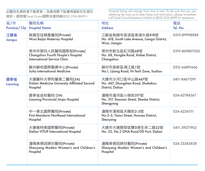| 省/市<br>Province/City | 醫院名稱<br><b>Hospital Name</b>                                                                | 地址<br><b>Address</b>                                                                | 電話<br>Tel. No.  |
|----------------------|---------------------------------------------------------------------------------------------|-------------------------------------------------------------------------------------|-----------------|
| 江蘇省<br>Jiangsu       | 無錫百佳婦產醫院(Private)<br>Wuxi Baijia Materniy Hospital                                          | 江蘇省無錫市梁溪區南湖大道618號<br>No. 618, South Lake Avenue, Liangxi District,<br>Wuxi, Jiangsu | 0510-89998888   |
|                      | 常州市第四人民醫院國際部(Private)<br>Changzhou Fourth People's Hospital<br>International Service Clinic | 常州市新北區紅河路68號<br>No. 68, Honghe Road, Xinbei District,<br>Changzhou                  | 0.519-869807220 |
|                      | 蘇州蘇哈國際醫療中心(Private)<br>Suha International Medicine                                          | 蘇州市高新區漓江路1號<br>No.1, Lijiang Road, Hi-Tech Zone, Suzhou                             | 0.512-66891666  |
| 遼寧省<br>Liaoning      | 大連醫科大學附屬第二醫院(3A)<br>Dalian Medicine University Affiliated Second<br>Hospital                | 大連市沙河口區中山路467號<br>No. 467, Zhongshan Road, Shahekou<br>District, Dalian             | 0411-84671291   |
|                      | 獠寧省金秋醫院 (3A)<br>Liaoning Provincial Jingiu Hospital                                         | 瀋陽市瀋河區小南街317號<br>No. 317, Xiaonan Street, Shenhe District,<br>Shengyang             | 024-62784567    |
|                      | 中一東北國際醫院(Private)<br><b>First Mandarin Northeast International</b><br>Hospital              | 瀋陽市渾南區天賜街2-3號<br>No.2-3, Tianci Street, Hunnan District,<br>Shenyang                | 024-62361111    |
|                      | 大連維特奧國際醫院(Private)<br><b>Dalian VITUP International Hospital</b>                            | 大連市大連開發區雙D港生命二路22號<br>No. 22, No.2 DNA Road DD Port, Dalian                         | 0411-39271902   |
|                      | 瀋陽美德因婦兒醫院(Private)<br>Shenyang Madein Women's and Children's<br>Hospital                    | 瀋陽美德因婦兒醫院(Private)<br>Shenyang Madein Women's and Children's<br>Hospital            | 024-23383838    |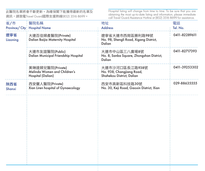| 省/市<br>Province/City | 醫院名稱<br><b>Hospital Name</b>                                          | 地址<br><b>Address</b>                                                     | 電話<br>Tel. No. |
|----------------------|-----------------------------------------------------------------------|--------------------------------------------------------------------------|----------------|
| 遼寧省<br>Liaoning      | 大連百佳婦產醫院(Private)<br>Dalian Baijia Maternity Hospital                 | 遼寧省大連市西崗區勝利路98號<br>No. 98, Shengli Road, Xigang District,<br>Dalian      | 0411-82289611  |
|                      | 大連市友誼醫院(Public)<br>Dalian Municipal Friendship Hospital               | 大連市中山區三八廣場8號<br>No. 8, Sanba Square, Zhongshan District,<br>Dalian       | 0411-82717393  |
|                      | 美琳達婦兒醫院(Private)<br>Melinda Women and Children's<br>Hospital (Dalian) | 大連市沙河口區長江路938號<br>No. 938, Changjiang Road,<br>Shahekou District, Dalian | 0411-39253302  |
| 陝西省<br>Shanxi        | 西安儷人醫院(Private)<br>Xian Liren hospital of Gynaecology                 | 西安市高新區科技路30號<br>No. 30, Keji Road, Gaoxin District, Xian                 | 029-88635555   |
|                      |                                                                       |                                                                          |                |
|                      |                                                                       |                                                                          |                |
|                      |                                                                       |                                                                          |                |
|                      |                                                                       |                                                                          |                |
|                      |                                                                       |                                                                          |                |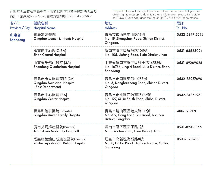| 省/市<br>Province/City | 醫院名稱<br><b>Hospital Name</b>                                      | 地址<br><b>Address</b>                                                              | 電話<br>Tel. No. |
|----------------------|-------------------------------------------------------------------|-----------------------------------------------------------------------------------|----------------|
| 山東省<br>Shandong      | 青島婦嬰醫院<br>Qingdao women& Infants Hospital                         | 青島市市南區中山路19號<br>No. 19, Zhongshan Road, Shinan District,<br>Qingdao.              | 0532-5897 5096 |
|                      | 濟南市中心醫院(3A)<br>Jinan Central Hospital                             | 濟南市曆下區解放路105號<br>No. 105, Jiefang Road, Lixia District, Jinan                     | 0531-68623094  |
|                      | 山東省千佛山醫院 (3A)<br>Shandong Qianfoshan Hospital                     | 山東省濟南市曆下區經十路16766號<br>No. 16766, Jingshi Road, Lixia District, Jinan,<br>Shandong | 0531-89269028  |
|                      | 青島市市立醫院東院 (3A)<br>Qingdao Municipal Hospital<br>(East Department) | 青島市市南區東海中路5號<br>No. 5, Donghaizhong Road, Shinan District,<br>Qingdao             | 0532-85937690  |
|                      | 青島市中心醫院 (3A)<br>Qingdao Center Hospital                           | 青島市市北區四流南路127號<br>No. 127. Si Liu South Road, Shibei District.<br>Qingdao         | 0532-84852961  |
|                      | 青島和睦家醫院(Private)<br>Qingdao United Family Hospita                 | 青島市嶗山區香港東路319號<br>No. 319, Hong Kong East Road, Laoshan<br>District, Qingdao      | 400-8919191    |
|                      | 濟南艾瑪婦產醫院(Private)<br>Jinan Aima Maternity Hospitall               | 濟南市曆下區窯頭路1號<br>No.1, Yaotou Road, Lixia District, Jinan                           | 0531-82318866  |
|                      | 煙臺綠葉鮑巴斯康復醫院(Private)<br>Yantai Luye-Bobath Rehab Hospital         | 煙臺市高新區海博路8號<br>No. 8, Haibo Road, High-tech Zone, Yantai,<br>Shandong             | 0535-8207617   |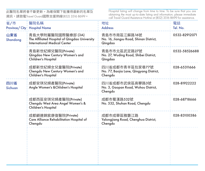| 省/市<br>Province/City | 醫院名稱<br><b>Hospital Name</b>                                                                               | 地址<br><b>Address</b>                                                  | 電話<br>Tel. No. |
|----------------------|------------------------------------------------------------------------------------------------------------|-----------------------------------------------------------------------|----------------|
| 山東省<br>Shandona      | 青島大學附屬醫院國際醫療部 (3A)<br>The Affiliated Hospital of Qingdao University<br><b>International Medical Center</b> | 青島市市南區江蘇路16號<br>No. 16, Jiangsu Road, Shinan District,<br>Qingdao     | 0532-82912071  |
|                      | 青島新世紀婦兒醫院(Private)<br>Qingdao New Century Women's and<br>Children's Hospital                               | 青島市市北區武定路27號<br>No. 27, Wuding Road, Shibei District,<br>Qingdao      | 0532-58526688  |
|                      | 成都新世紀婦女兒章醫院(Private)<br>Chengdu New Century Women's and<br>Children's Hospital                             | 四川省成都市青羊區包家巷77號<br>No. 77, Baojia Lane, Qingyang District,<br>Chengdu | 028-65311666   |
| 四川省<br>Sichuan       | 成都安琪兒婦產醫院(Private)<br>Angle Women's & Chlidren's Hospital                                                  | 四川省成都市武侯區高攀路3號<br>No. 3, Gaopan Road, Wuhou District,<br>Chengdu      | 028-81922222   |
|                      | 成都西區安琪兒婦產醫院(Private)<br>Chengdu West Area Angel Women's &<br>Children's Hospital                           | 成都市蜀漢路532號<br>No. 532, Shuhan Road, Chengdu                           | 028-68718666   |
|                      | 成都顧連錦宸康復醫院(Private)<br>Care Alliance Rehabilitation Hospital of<br>Chengdu                                 | 成都市成華區雅礱江路<br>Yalongjiang Road, Chenghua District,<br>Chengdu         | 028-83100386   |
|                      |                                                                                                            |                                                                       |                |
|                      |                                                                                                            |                                                                       |                |
|                      |                                                                                                            |                                                                       |                |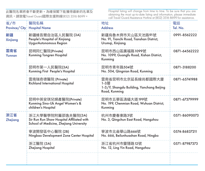| 省/市<br>Province/City | 醫院名稱<br><b>Hospital Name</b>                                                                               | 地址<br><b>Address</b>                                                                    | 電話<br>Tel. No. |
|----------------------|------------------------------------------------------------------------------------------------------------|-----------------------------------------------------------------------------------------|----------------|
| 新疆<br>Xinjiang       | 新疆維吾爾自治區人民醫院 (3A)<br>People's Hospital of Xinjiang<br>UygurAutonomous Region                               | 新疆烏魯木齊市天山區天池路91號<br>No. 91, Tianchi Road, Tianshan District,<br>Urumgi, Xinjiang        | 0991-8562222   |
| 雲南省<br>Yunnan        | 昆明同仁醫院(Private)<br>Kunming Tongren Hospital                                                                | 昆明市西山區廣福路1099號<br>No. 1099, Guangfu Road, Xishan District,<br>Kunming                   | 0871-64562222  |
|                      | 昆明市第一人民醫院(3A)<br>Kunming First People's Hospital                                                           | 昆明市青年路504號<br>No. 504, Qingnian Road, Kunming                                           | 0871-3188200   |
|                      | 雲南瑞奇德醫院 (Private)<br>Richland International Hospital                                                       | 雲南省昆明市北京延長線尚都國際大廈<br>1-3層<br>1-3/F, Shangdu Building, Yanchang Beijing<br>Road, Kunming | 0871-65741988  |
|                      | 昆明中英安琪兒婦產醫院(Private)<br>Kunming Sino-Uk Angel Women's &<br>children's Hospital                             | 昆明市五華區滇緬大道199號<br>No. 199, Chenmian Road, Wuhuan District,<br>Kunming                   | 0871-67379999  |
| 浙江省<br>Zhejiang      | 浙江大學醫學院附屬邵逸夫醫院(3A)<br>Sir Run Run Shaw Hospital Affiliated with<br>School of Medicine, Zhejiang University | 杭州市慶春東路3號<br>No. 3, Qingchun East Road, Hangzhou                                        | 0.571-86090073 |
|                      | 寧波開發區中心醫院 (2B)<br>Ningbao Development Zone Center Hospital                                                 | 寧波市北侖華山路666號<br>No. 666, Beilunhuashan Road, Ningbo                                     | 0574-86837211  |
|                      | 浙江醫院 (3A)<br>Zhejiang Hospital                                                                             | 浙江省杭州市靈隱路12號<br>No. 12, Ling Yin Road, Hangzhou                                         | 0571-87987373  |
|                      |                                                                                                            |                                                                                         |                |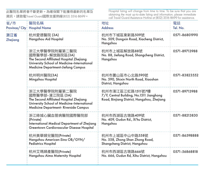| 省/市<br>Province/City | 醫院名稱<br><b>Hospital Name</b>                                                                                                                                            | 地址<br><b>Address</b>                                                                                        | 電話<br>Tel. No. |
|----------------------|-------------------------------------------------------------------------------------------------------------------------------------------------------------------------|-------------------------------------------------------------------------------------------------------------|----------------|
| 浙江省<br>Zhejiang      | 杭州愛德醫院 (3A)<br>Hangzhou Aid Hospital                                                                                                                                    | 杭州市下城區東新路509號<br>No. 509, Dongxin Road, Xiacheng District,<br>Hangzhou                                      | 0571-86801990  |
|                      | 浙江大學醫學院附屬第二醫院<br>國際醫學部-解放路院區(3A)<br>The Second Affiliated Hospital Zhejiang<br>University School of Medicine-International<br><b>Medicine Department-Jiefang Campus</b> | 杭州市上城區解放路88號<br>No. 88, Jiefang Road, Shangcheng District,<br>Hangzhou                                      | 0571-89713988  |
|                      | 杭州明州醫院(3A)<br>Mingzhou Hospital                                                                                                                                         | 杭州市蕭山區市心北路590號<br>No. 590, Shixin North Road, Xiaoshan<br>District, Hangzhou                                | 0571-83823552  |
|                      | 浙江大學醫學院附屬第二醫院<br>國際醫學部-濱江院區 (3A)<br>The Second Affiliated Hospital Zhejiang<br>University School of Medicine-International<br>Medicine Department- Riverside Campus     | 杭州市濱江區江虹路1511號7樓<br>7/F, Central Building, No.1511 Jianghong<br>Road, Binjiang District, Hangzhou, Zhejiang | 0.571-89713988 |
|                      | 浙江綠城心臟血管病醫院國際醫院部<br>(Private)<br>International Medical Department of Zhejiang<br>Greentown Cardiovascular Disease Hospital                                              | 杭州市西湖區古墩路409號<br>No. 409, Gudun Rd., Xi'hu District,<br>Hangzhou                                            | 0571-88213830  |
|                      | 杭州美華婦兒醫院(Private)<br>Hangzhou American-Sino OB/GYN/<br><b>Pediatrics Hospital</b>                                                                                       | 杭州市上城區中山中路558號<br>No. 558, Zhong Shan Zhong Road,<br>Shangcheng District, Hangzhou                          | 0571-86598888  |
|                      | 杭州艾瑪婦產醫院(Private)<br>Hangzhou Aima Maternity Hospital                                                                                                                   | 杭州市西湖區古墩路666號<br>No. 666, Gudun Rd, Xihu District, Hangzhou                                                 | 0571-56868818  |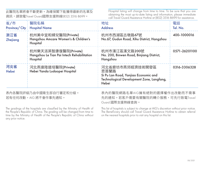Hospital listing will change from time to time. To be sure that you are obtaining the most up-to-date listing and information, please immediate call Travel Guard Assistance Hotline at (852) 3516 8699 for assistance.

| 省/市<br>Province/City | 醫院名稱<br><b>Hospital Name</b>                                                   | 地址<br><b>Address</b>                                                                                                  | 電話<br>Tel. No. |
|----------------------|--------------------------------------------------------------------------------|-----------------------------------------------------------------------------------------------------------------------|----------------|
| 浙江省<br>Zhejiang      | 杭州美中宜和婦兒醫院(Private)<br>Hangzhou Amcare Women's & Children's<br>Hospital        | 杭州市西湖區古墩路67號<br>No.67, Gudun Road, Xihu District, Hangzhou                                                            | 400-1000016    |
|                      | 杭州樂天派英智康復醫院(Private)<br>Hangzhou Le Tian Pai Intech Rehabilitation<br>Hospital | 杭州市濱江區濱文路200號<br>No. 200, Binwen Road, Binjiang District,<br>Hangzhou                                                 | 0571-26201100  |
| 河北省<br>Hebei         | 河北燕達陸道培醫院(Private)<br>Hebei Yanda Ludaopei Hospital                            | 河北省廊坊市燕郊經濟技術開發區<br>思菩蘭路<br>Si Pu Lan Road, Yanjiao Economic and<br>Technological Development Zone, Langfang,<br>Hebei | 0316-3306328   |

表內各醫院評級乃由中國衛生部自行審定和分級。 若有任何改動,AIG 將不會作事先通知。

表內的醫院網路名單AIG擁有絕對的選擇權作出改動而不需事 先的通知。若客戶需要有關醫院的轉介服務,可先行致電Travel Guard 國際支援熱線查詢。

The gradings of the hospitals are classified by the Ministry of Health of the People's Republic of China. The grading will be changed from time to time by the Ministry of Health of the People's Republic of China without any prior notice.

This list of hospitals is subject to change at AIG's discretion without prior notice. The Beneficiary should call Travel Guard Assistance Hotline to obtain referral on the nearest hospitals prior to visit any hospital on this list.